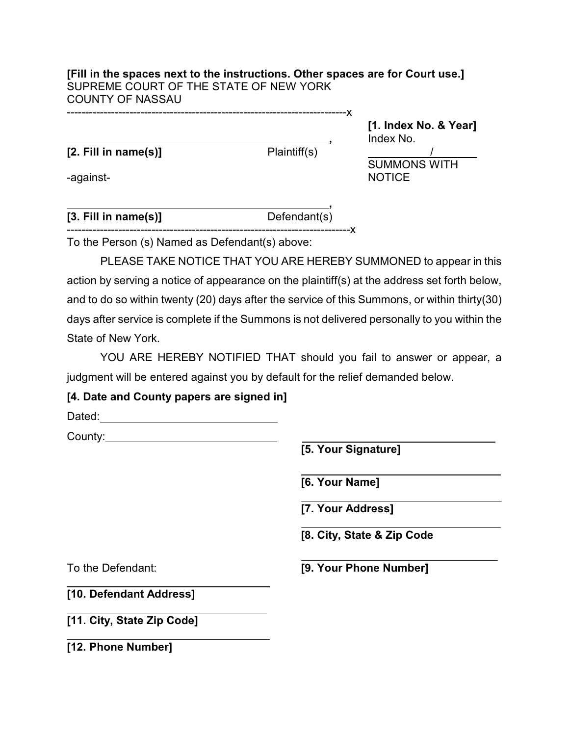## **[Fill in the spaces next to the instructions. Other spaces are for Court use.]** SUPREME COURT OF THE STATE OF NEW YORK COUNTY OF NASSAU

-------------------**X** 

**[2. Fill in name(s)]** Plaintiff(s) /

-against- NOTICE

 **,** Index No. SUMMONS WITH

**[1. Index No. & Year]**

 **, [3. Fill in name(s)]** Defendant(s) -----------------------------------------------------------------------------x

To the Person (s) Named as Defendant(s) above:

PLEASE TAKE NOTICE THAT YOU ARE HEREBY SUMMONED to appear in this action by serving a notice of appearance on the plaintiff(s) at the address set forth below, and to do so within twenty (20) days after the service of this Summons, or within thirty(30) days after service is complete if the Summons is not delivered personally to you within the State of New York.

YOU ARE HEREBY NOTIFIED THAT should you fail to answer or appear, a judgment will be entered against you by default for the relief demanded below.

## **[4. Date and County papers are signed in]**

Dated:

County:

**[5. Your Signature]**

 **[6. Your Name]**

 **[7. Your Address]**

 **[8. City, State & Zip Code**

 To the Defendant: **[9. Your Phone Number]**

 **[10. Defendant Address]**

**[11. City, State Zip Code]**

**[12. Phone Number]**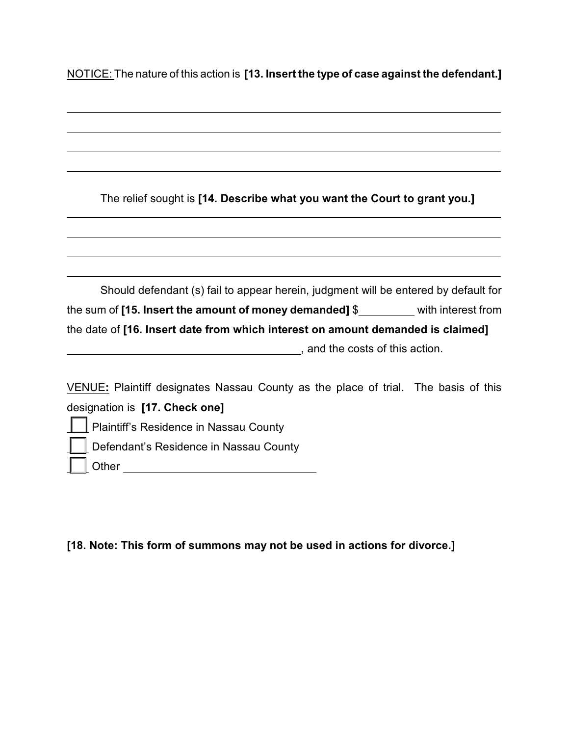NOTICE: The nature of this action is **[13. Insert the type of case against the defendant.]**

| The relief sought is [14. Describe what you want the Court to grant you.]                |  |
|------------------------------------------------------------------------------------------|--|
|                                                                                          |  |
|                                                                                          |  |
|                                                                                          |  |
| Should defendant (s) fail to appear herein, judgment will be entered by default for      |  |
| the sum of $[15$ . Insert the amount of money demanded] $\frac{1}{2}$ with interest from |  |
| the date of [16. Insert date from which interest on amount demanded is claimed]          |  |
| , and the costs of this action.                                                          |  |
|                                                                                          |  |
| $\frac{1}{\sqrt{2}}$                                                                     |  |

VENUE**:** Plaintiff designates Nassau County as the place of trial. The basis of this designation is **[17. Check one]**

**Plaintiff's Residence in Nassau County**  Defendant's Residence in Nassau County Other

**[18. Note: This form of summons may not be used in actions for divorce.]**